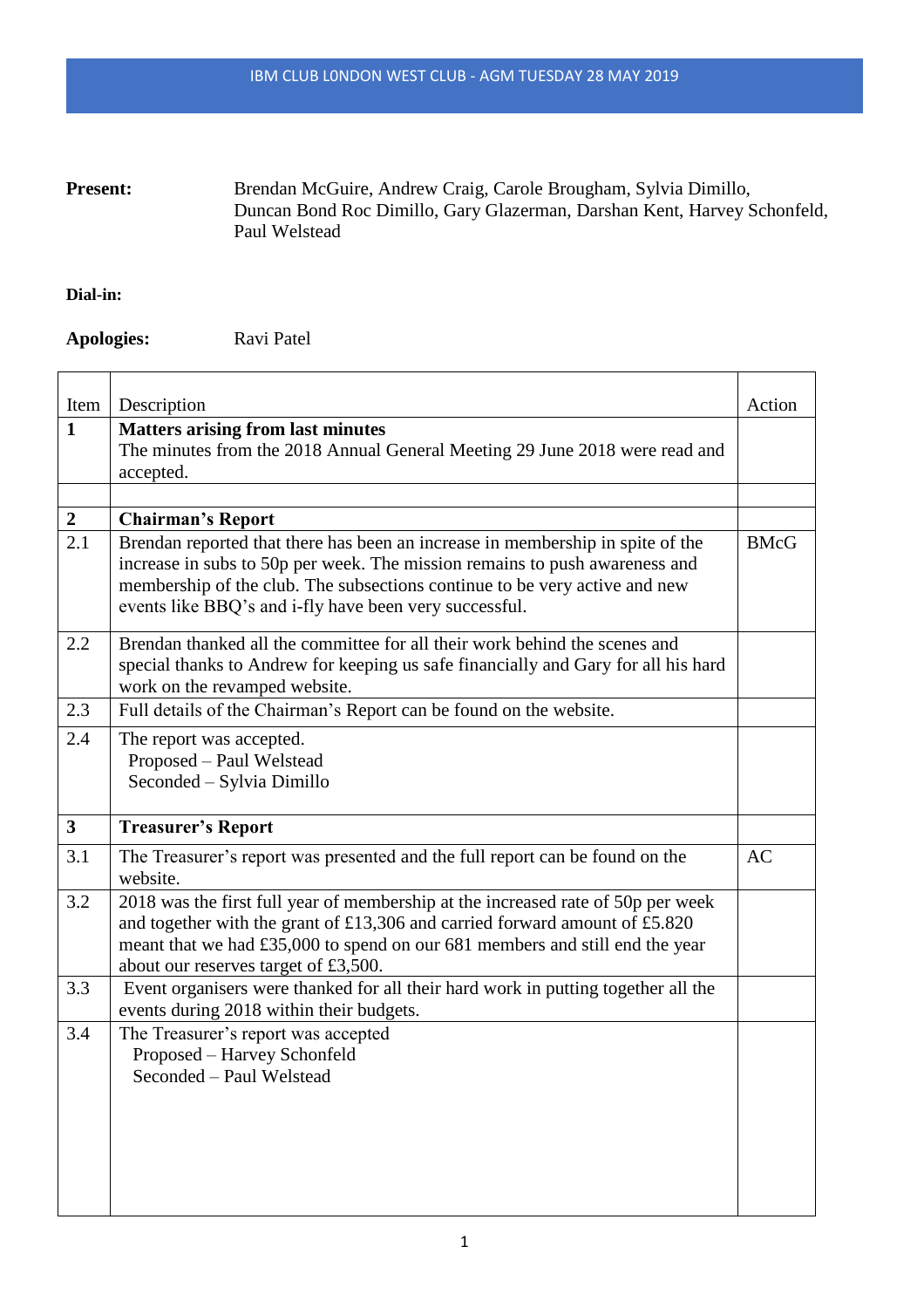## Present: Brendan McGuire, Andrew Craig, Carole Brougham, Sylvia Dimillo, Duncan Bond Roc Dimillo, Gary Glazerman, Darshan Kent, Harvey Schonfeld, Paul Welstead

## **Dial-in:**

**Apologies:** Ravi Patel

| Item             | Description                                                                                                                                                                                                                                                                                           | Action      |
|------------------|-------------------------------------------------------------------------------------------------------------------------------------------------------------------------------------------------------------------------------------------------------------------------------------------------------|-------------|
| $\mathbf{1}$     | <b>Matters arising from last minutes</b><br>The minutes from the 2018 Annual General Meeting 29 June 2018 were read and<br>accepted.                                                                                                                                                                  |             |
|                  |                                                                                                                                                                                                                                                                                                       |             |
| $\boldsymbol{2}$ | <b>Chairman's Report</b>                                                                                                                                                                                                                                                                              |             |
| 2.1              | Brendan reported that there has been an increase in membership in spite of the<br>increase in subs to 50p per week. The mission remains to push awareness and<br>membership of the club. The subsections continue to be very active and new<br>events like BBQ's and i-fly have been very successful. | <b>BMcG</b> |
| 2.2              | Brendan thanked all the committee for all their work behind the scenes and<br>special thanks to Andrew for keeping us safe financially and Gary for all his hard<br>work on the revamped website.                                                                                                     |             |
| 2.3              | Full details of the Chairman's Report can be found on the website.                                                                                                                                                                                                                                    |             |
| 2.4              | The report was accepted.<br>Proposed – Paul Welstead<br>Seconded – Sylvia Dimillo                                                                                                                                                                                                                     |             |
| 3 <sup>1</sup>   | <b>Treasurer's Report</b>                                                                                                                                                                                                                                                                             |             |
| 3.1              | The Treasurer's report was presented and the full report can be found on the<br>website.                                                                                                                                                                                                              | AC          |
| 3.2              | 2018 was the first full year of membership at the increased rate of 50p per week<br>and together with the grant of £13,306 and carried forward amount of £5.820<br>meant that we had £35,000 to spend on our 681 members and still end the year<br>about our reserves target of £3,500.               |             |
| 3.3              | Event organisers were thanked for all their hard work in putting together all the<br>events during 2018 within their budgets.                                                                                                                                                                         |             |
| 3.4              | The Treasurer's report was accepted<br>Proposed - Harvey Schonfeld<br>Seconded - Paul Welstead                                                                                                                                                                                                        |             |